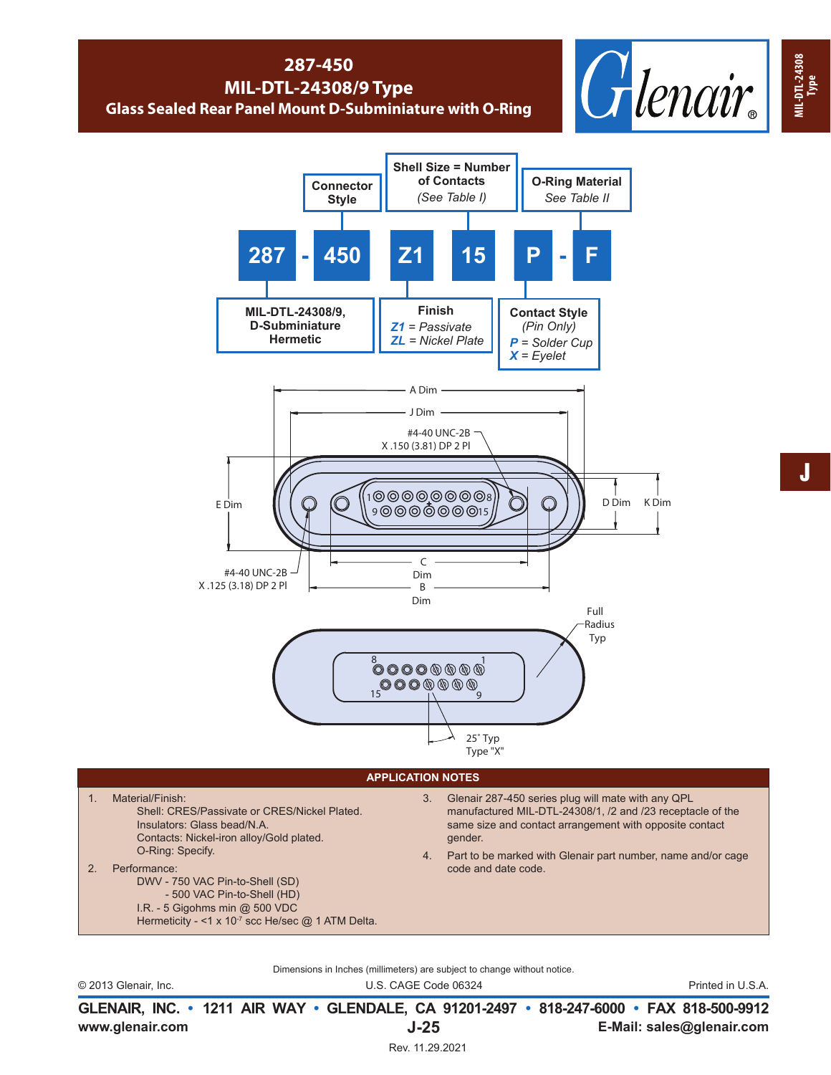## **287-450 MIL-DTL-24308/9 Type Glass Sealed Rear Panel Mount D-Subminiature with O-Ring**





## **APPLICATION NOTES**

1. Material/Finish: Shell: CRES/Passivate or CRES/Nickel Plated. Insulators: Glass bead/N.A. Contacts: Nickel-iron alloy/Gold plated. O-Ring: Specify.

2. Performance: DWV - 750 VAC Pin-to-Shell (SD) - 500 VAC Pin-to-Shell (HD)

- I.R. 5 Gigohms min @ 500 VDC
	- Hermeticity <1 x 10<sup>-7</sup> scc He/sec @ 1 ATM Delta.
- 3. Glenair 287-450 series plug will mate with any QPL manufactured MIL-DTL-24308/1, /2 and /23 receptacle of the same size and contact arrangement with opposite contact gender.
- 4. Part to be marked with Glenair part number, name and/or cage code and date code.
- Dimensions in Inches (millimeters) are subject to change without notice.

© 2013 Glenair, Inc. U.S. CAGE Code 06324 Printed in U.S.A.

**www.glenair.com E-Mail: sales@glenair.com GLENAIR, INC. • 1211 AIR WAY • GLENDALE, CA 91201-2497 • 818-247-6000 • FAX 818-500-9912 J-25**

J

**MIL-DTL-24308**

**MIL-DTL-24308** MIL-DTL-24308<br>Type

Rev. 11.29.2021